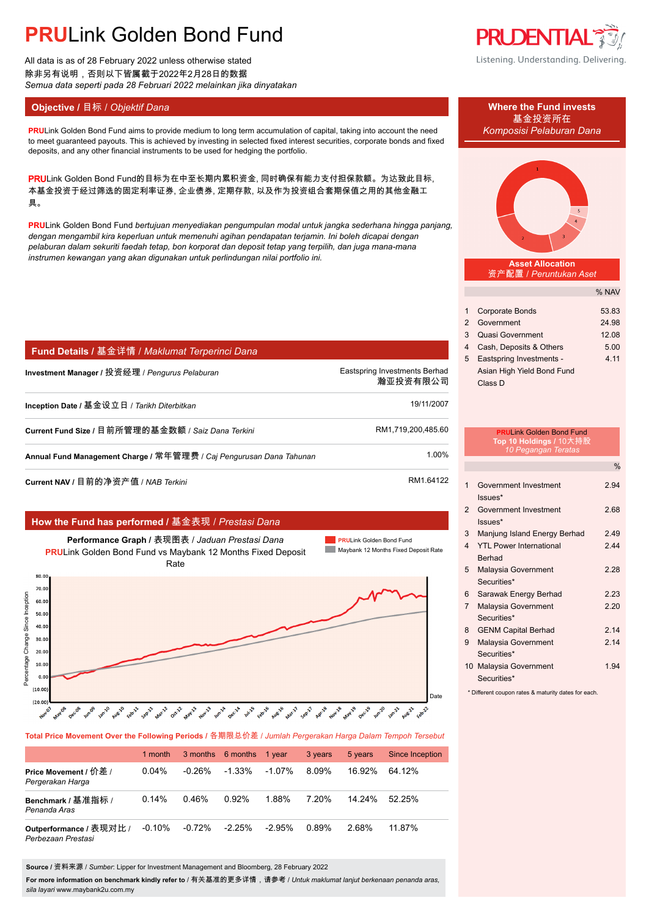# **PRU**Link Golden Bond Fund

All data is as of 28 February 2022 unless otherwise stated 除非另有说明,否则以下皆属截于2022年2月28日的数据 *Semua data seperti pada 28 Februari 2022 melainkan jika dinyatakan*

### **Objective / 目标 /** *Objektif Dana* **Where the Fund invests</u>**

**PRU**Link Golden Bond Fund aims to provide medium to long term accumulation of capital, taking into account the need *Komposisi Pelaburan Dana* to meet guaranteed payouts. This is achieved by investing in selected fixed interest securities, corporate bonds and fixed deposits, and any other financial instruments to be used for hedging the portfolio.

PRULink Golden Bond Fund的目标为在中至长期内累积资金, 同时确保有能力支付担保款额。为达致此目标, 本基金投资于经过筛选的固定利率证券, 企业债券, 定期存款, 以及作为投资组合套期保值之用的其他金融工 具。

**PRU**Link Golden Bond Fund *bertujuan menyediakan pengumpulan modal untuk jangka sederhana hingga panjang, dengan mengambil kira keperluan untuk memenuhi agihan pendapatan terjamin. Ini boleh dicapai dengan pelaburan dalam sekuriti faedah tetap, bon korporat dan deposit tetap yang terpilih, dan juga mana-mana instrumen kewangan yang akan digunakan untuk perlindungan nilai portfolio ini.*

| Fund Details / 基金详情 / Maklumat Terperinci Dana                      |                                           |
|---------------------------------------------------------------------|-------------------------------------------|
| Investment Manager / 投资经理 / Pengurus Pelaburan                      | Eastspring Investments Berhad<br>瀚亚投资有限公司 |
| Inception Date / 基金设立日 / Tarikh Diterbitkan                         | 19/11/2007                                |
| Current Fund Size / 目前所管理的基金数额 / Saiz Dana Terkini                  | RM1.719.200.485.60                        |
| Annual Fund Management Charge / 常年管理费 / Caj Pengurusan Dana Tahunan | 1.00%                                     |
| Current NAV / 目前的净资产值 / NAB Terkini                                 | RM1.64122                                 |

### **How the Fund has performed /** 基金表现 / *Prestasi Dana*



**Total Price Movement Over the Following Periods /** 各期限总价差 / *Jumlah Pergerakan Harga Dalam Tempoh Tersebut*

|                                               | 1 month  |           | 3 months 6 months | 1 vear    | 3 years | 5 years | Since Inception |
|-----------------------------------------------|----------|-----------|-------------------|-----------|---------|---------|-----------------|
| Price Movement / 价差 /<br>Pergerakan Harga     | $0.04\%$ | $-0.26\%$ | $-1.33\%$         | $-1.07\%$ | 8.09%   | 16.92%  | 64 12%          |
| Benchmark / 基准指标 /<br>Penanda Aras            | 0.14%    | 0.46%     | 0.92%             | 1.88%     | 7.20%   | 14 24%  | $52.25\%$       |
| Outperformance / 表现对比 /<br>Perbezaan Prestasi | $-0.10%$ | $-0.72%$  | $-2.25%$          | $-2.95\%$ | 0.89%   | 2.68%   | 11.87%          |

**Source /** 资料来源 / *Sumber*: Lipper for Investment Management and Bloomberg, 28 February 2022

**For more information on benchmark kindly refer to** / 有关基准的更多详情,请参考 / *Untuk maklumat lanjut berkenaan penanda aras, sila layari* www.maybank2u.com.my

**PRUDENTIAL** Listening. Understanding. Delivering.

# 基金投资所在



**Asset Allocation** 资产配置 / *Peruntukan Aset*

|              |                            | % NAV |
|--------------|----------------------------|-------|
|              |                            |       |
| 1            | <b>Corporate Bonds</b>     | 53.83 |
| $\mathbf{2}$ | Government                 | 24.98 |
| 3            | <b>Quasi Government</b>    | 12.08 |
| 4            | Cash, Deposits & Others    | 5.00  |
| 5            | Eastspring Investments -   | 4.11  |
|              | Asian High Yield Bond Fund |       |
|              | Class D                    |       |

|                         | <b>PRULink Golden Bond Fund</b><br>Top 10 Holdings / 10大持股<br>10 Pegangan Teratas |               |
|-------------------------|-----------------------------------------------------------------------------------|---------------|
|                         |                                                                                   | $\frac{0}{0}$ |
| 1                       | Government Investment<br>$lssues*$                                                | 2.94          |
| $\overline{2}$          | Government Investment<br>$lssues*$                                                | 2.68          |
| 3                       | Manjung Island Energy Berhad                                                      | 2.49          |
| $\overline{\mathbf{4}}$ | <b>YTI Power International</b><br><b>Berhad</b>                                   | 244           |
| 5                       | Malaysia Government<br>Securities*                                                | 2 28          |
| 6                       | Sarawak Energy Berhad                                                             | 2.23          |
| $\overline{7}$          | Malaysia Government<br>Securities*                                                | 220           |
| 8                       | <b>GENM Capital Berhad</b>                                                        | 214           |
| 9                       | Malaysia Government<br>Securities*                                                | 214           |
|                         | 10 Malaysia Government<br>Securities*                                             | 1.94          |

\* Different coupon rates & maturity dates for each.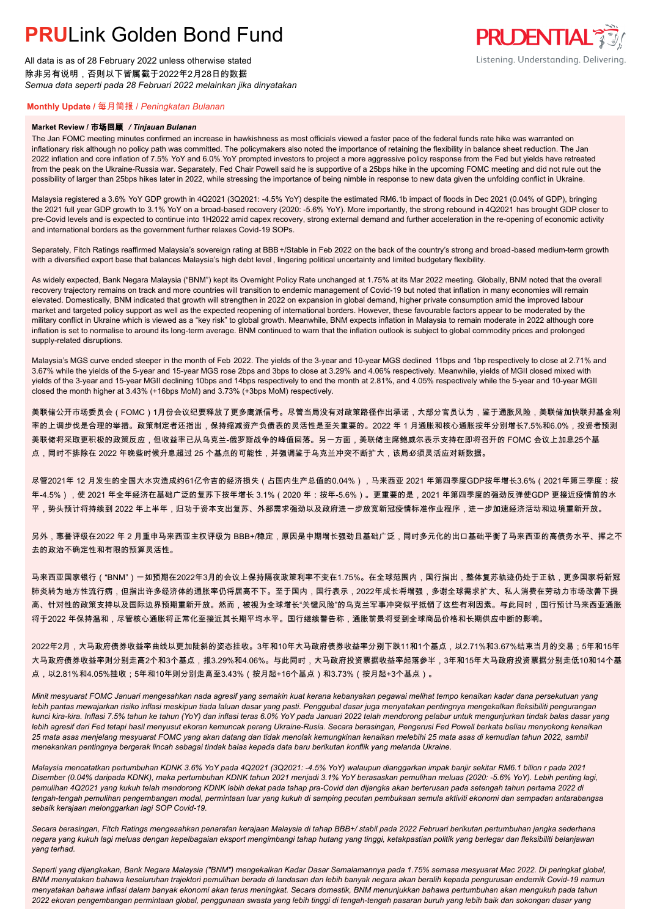# **PRUL** ink Golden Bond Fund

All data is as of 28 February 2022 unless otherwise stated 除非另有说明,否则以下皆属截于2022年2月28日的数据 *Semua data seperti pada 28 Februari 2022 melainkan jika dinyatakan*

### **PRUDENTIAL** Listening. Understanding. Delivering.

### **Monthly Update /** 每月简报 / *Peningkatan Bulanan*

#### **Market Review /** 市场回顾 */ Tinjauan Bulanan*

The Jan FOMC meeting minutes confirmed an increase in hawkishness as most officials viewed a faster pace of the federal funds rate hike was warranted on inflationary risk although no policy path was committed. The policymakers also noted the importance of retaining the flexibility in balance sheet reduction. The Jan 2022 inflation and core inflation of 7.5% YoY and 6.0% YoY prompted investors to project a more aggressive policy response from the Fed but yields have retreated from the peak on the Ukraine-Russia war. Separately, Fed Chair Powell said he is supportive of a 25bps hike in the upcoming FOMC meeting and did not rule out the possibility of larger than 25bps hikes later in 2022, while stressing the importance of being nimble in response to new data given the unfolding conflict in Ukraine.

Malaysia registered a 3.6% YoY GDP growth in 4Q2021 (3Q2021: -4.5% YoY) despite the estimated RM6.1b impact of floods in Dec 2021 (0.04% of GDP), bringing the 2021 full year GDP growth to 3.1% YoY on a broad-based recovery (2020: -5.6% YoY). More importantly, the strong rebound in 4Q2021 has brought GDP closer to pre-Covid levels and is expected to continue into 1H2022 amid capex recovery, strong external demand and further acceleration in the re-opening of economic activity and international borders as the government further relaxes Covid-19 SOPs.

Separately, Fitch Ratings reaffirmed Malaysia's sovereign rating at BBB+/Stable in Feb 2022 on the back of the country's strong and broad-based medium-term growth with a diversified export base that balances Malaysia's high debt level , lingering political uncertainty and limited budgetary flexibility.

As widely expected, Bank Negara Malaysia ("BNM") kept its Overnight Policy Rate unchanged at 1.75% at its Mar 2022 meeting. Globally, BNM noted that the overall recovery trajectory remains on track and more countries will transition to endemic management of Covid-19 but noted that inflation in many economies will remain elevated. Domestically, BNM indicated that growth will strengthen in 2022 on expansion in global demand, higher private consumption amid the improved labour market and targeted policy support as well as the expected reopening of international borders. However, these favourable factors appear to be moderated by the military conflict in Ukraine which is viewed as a "key risk" to global growth. Meanwhile, BNM expects inflation in Malaysia to remain moderate in 2022 although core inflation is set to normalise to around its long-term average. BNM continued to warn that the inflation outlook is subject to global commodity prices and prolonged supply-related disruptions.

Malaysia's MGS curve ended steeper in the month of Feb 2022. The yields of the 3-year and 10-year MGS declined 11bps and 1bp respectively to close at 2.71% and 3.67% while the yields of the 5-year and 15-year MGS rose 2bps and 3bps to close at 3.29% and 4.06% respectively. Meanwhile, yields of MGII closed mixed with yields of the 3-year and 15-year MGII declining 10bps and 14bps respectively to end the month at 2.81%, and 4.05% respectively while the 5-year and 10-year MGII closed the month higher at 3.43% (+16bps MoM) and 3.73% (+3bps MoM) respectively.

美联储公开市场委员会(FOMC)1月份会议纪要释放了更多鹰派信号。尽管当局没有对政策路径作出承诺,大部分官员认为,鉴于通胀风险,美联储加快联邦基金利 率的上调步伐是合理的举措。政策制定者还指出,保持缩减资产负债表的灵活性是至关重要的。2022 年 1 月通胀和核心通胀按年分别增长7.5%和6.0%,投资者预测 美联储将采取更积极的政策反应,但收益率已从乌克兰-俄罗斯战争的峰值回落。另一方面,美联储主席鲍威尔表示支持在即将召开的 FOMC 会议上加息25个基 点,同时不排除在 2022 年晚些时候升息超过 25 个基点的可能性,并强调鉴于乌克兰冲突不断扩大,该局必须灵活应对新数据。

尽管2021年 12 月发生的全国大水灾造成约61亿令吉的经济损失(占国内生产总值的0.04%),马来西亚 2021 年第四季度GDP按年增长3.6%(2021年第三季度:按 年-4.5%),使 2021 年全年经济在基础广泛的复苏下按年增长 3.1%(2020 年:按年-5.6%)。更重要的是,2021 年第四季度的强劲反弹使GDP 更接近疫情前的水 平,势头预计将持续到 2022 年上半年,归功于资本支出复苏、外部需求强劲以及政府进一步放宽新冠疫情标准作业程序,进一步加速经济活动和边境重新开放。

另外,惠誉评级在2022 年 2 月重申马来西亚主权评级为 BBB+/稳定,原因是中期增长强劲且基础广泛,同时多元化的出口基础平衡了马来西亚的高债务水平、挥之不 去的政治不确定性和有限的预算灵活性。

马来西亚国家银行("BNM")一如预期在2022年3月的会议上保持隔夜政策利率不变在1.75%。在全球范围内,国行指出,整体复苏轨迹仍处于正轨,更多国家将新冠 肺炎转为地方性流行病,但指出许多经济体的通胀率仍将居高不下。至于国内,国行表示,2022年成长将增强,多谢全球需求扩大、私人消费在劳动力市场改善下提 高、针对性的政策支持以及国际边界预期重新开放。然而,被视为全球增长"关键风险"的乌克兰军事冲突似乎抵销了这些有利因素。与此同时,国行预计马来西亚通胀 将于2022 年保持温和,尽管核心通胀将正常化至接近其长期平均水平。国行继续警告称,通胀前景将受到全球商品价格和长期供应中断的影响。

2022年2月,大马政府债券收益率曲线以更加陡斜的姿态挂收。3年和10年大马政府债券收益率分别下跌11和1个基点,以2.71%和3.67%结束当月的交易;5年和15年 大马政府债券收益率则分别走高2个和3个基点,报3.29%和4.06%。与此同时,大马政府投资票据收益率起落参半,3年和15年大马政府投资票据分别走低10和14个基 点,以2.81%和4.05%挂收;5年和10年则分别走高至3.43%(按月起+16个基点)和3.73%(按月起+3个基点)。

*Minit mesyuarat FOMC Januari mengesahkan nada agresif yang semakin kuat kerana kebanyakan pegawai melihat tempo kenaikan kadar dana persekutuan yang lebih pantas mewajarkan risiko inflasi meskipun tiada laluan dasar yang pasti. Penggubal dasar juga menyatakan pentingnya mengekalkan fleksibiliti pengurangan kunci kira-kira. Inflasi 7.5% tahun ke tahun (YoY) dan inflasi teras 6.0% YoY pada Januari 2022 telah mendorong pelabur untuk mengunjurkan tindak balas dasar yang*  lebih agresif dari Fed tetapi hasil menyusut ekoran kemuncak perang Ukraine-Rusia. Secara berasingan, Pengerusi Fed Powell berkata beliau menyokong kenaikan *25 mata asas menjelang mesyuarat FOMC yang akan datang dan tidak menolak kemungkinan kenaikan melebihi 25 mata asas di kemudian tahun 2022, sambil menekankan pentingnya bergerak lincah sebagai tindak balas kepada data baru berikutan konflik yang melanda Ukraine.*

*Malaysia mencatatkan pertumbuhan KDNK 3.6% YoY pada 4Q2021 (3Q2021: -4.5% YoY) walaupun dianggarkan impak banjir sekitar RM6.1 bilion r pada 2021 Disember (0.04% daripada KDNK), maka pertumbuhan KDNK tahun 2021 menjadi 3.1% YoY berasaskan pemulihan meluas (2020: -5.6% YoY). Lebih penting lagi, pemulihan 4Q2021 yang kukuh telah mendorong KDNK lebih dekat pada tahap pra-Covid dan dijangka akan berterusan pada setengah tahun pertama 2022 di tengah-tengah pemulihan pengembangan modal, permintaan luar yang kukuh di samping pecutan pembukaan semula aktiviti ekonomi dan sempadan antarabangsa sebaik kerajaan melonggarkan lagi SOP Covid-19.*

*Secara berasingan, Fitch Ratings mengesahkan penarafan kerajaan Malaysia di tahap BBB+/ stabil pada 2022 Februari berikutan pertumbuhan jangka sederhana negara yang kukuh lagi meluas dengan kepelbagaian eksport mengimbangi tahap hutang yang tinggi, ketakpastian politik yang berlegar dan fleksibiliti belanjawan yang terhad.*

*Seperti yang dijangkakan, Bank Negara Malaysia ("BNM") mengekalkan Kadar Dasar Semalamannya pada 1.75% semasa mesyuarat Mac 2022. Di peringkat global, BNM menyatakan bahawa keseluruhan trajektori pemulihan berada di landasan dan lebih banyak negara akan beralih kepada pengurusan endemik Covid-19 namun menyatakan bahawa inflasi dalam banyak ekonomi akan terus meningkat. Secara domestik, BNM menunjukkan bahawa pertumbuhan akan mengukuh pada tahun 2022 ekoran pengembangan permintaan global, penggunaan swasta yang lebih tinggi di tengah-tengah pasaran buruh yang lebih baik dan sokongan dasar yang*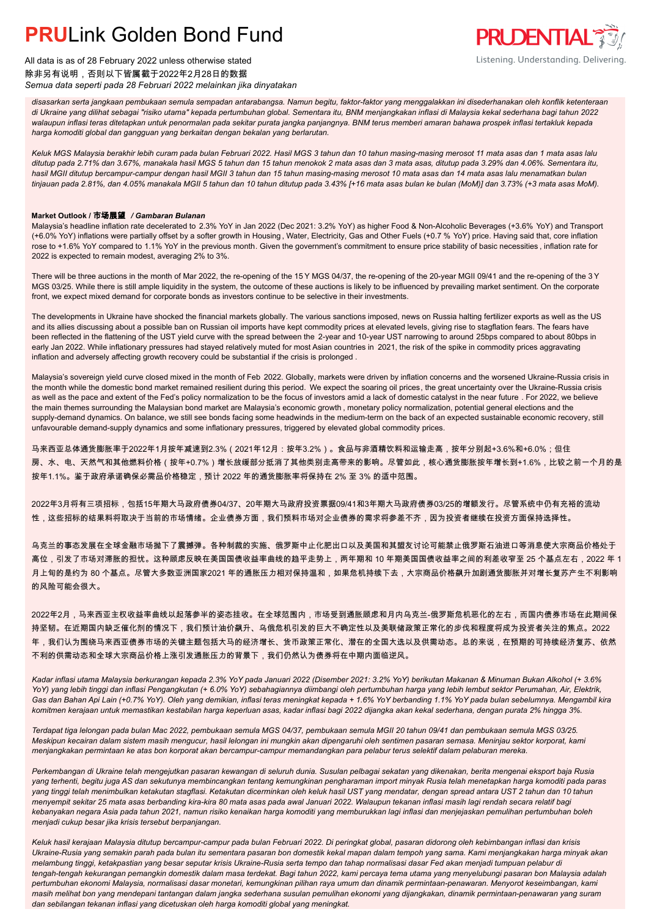## **PRUL** ink Golden Bond Fund



All data is as of 28 February 2022 unless otherwise stated 除非另有说明,否则以下皆属截于2022年2月28日的数据 *Semua data seperti pada 28 Februari 2022 melainkan jika dinyatakan*

*disasarkan serta jangkaan pembukaan semula sempadan antarabangsa. Namun begitu, faktor-faktor yang menggalakkan ini disederhanakan oleh konflik ketenteraan di Ukraine yang dilihat sebagai "risiko utama" kepada pertumbuhan global. Sementara itu, BNM menjangkakan inflasi di Malaysia kekal sederhana bagi tahun 2022 walaupun inflasi teras ditetapkan untuk penormalan pada sekitar purata jangka panjangnya. BNM terus memberi amaran bahawa prospek inflasi tertakluk kepada harga komoditi global dan gangguan yang berkaitan dengan bekalan yang berlarutan.*

*Keluk MGS Malaysia berakhir lebih curam pada bulan Februari 2022. Hasil MGS 3 tahun dan 10 tahun masing-masing merosot 11 mata asas dan 1 mata asas lalu ditutup pada 2.71% dan 3.67%, manakala hasil MGS 5 tahun dan 15 tahun menokok 2 mata asas dan 3 mata asas, ditutup pada 3.29% dan 4.06%. Sementara itu, hasil MGII ditutup bercampur-campur dengan hasil MGII 3 tahun dan 15 tahun masing-masing merosot 10 mata asas dan 14 mata asas lalu menamatkan bulan tinjauan pada 2.81%, dan 4.05% manakala MGII 5 tahun dan 10 tahun ditutup pada 3.43% [+16 mata asas bulan ke bulan (MoM)] dan 3.73% (+3 mata asas MoM).*

### **Market Outlook /** 市场展望 */ Gambaran Bulanan*

Malaysia's headline inflation rate decelerated to 2.3% YoY in Jan 2022 (Dec 2021: 3.2% YoY) as higher Food & Non-Alcoholic Beverages (+3.6% YoY) and Transport (+6.0% YoY) inflations were partially offset by a softer growth in Housing , Water, Electricity, Gas and Other Fuels (+0.7 % YoY) price. Having said that, core inflation rose to +1.6% YoY compared to 1.1% YoY in the previous month. Given the government's commitment to ensure price stability of basic necessities , inflation rate for 2022 is expected to remain modest, averaging 2% to 3%.

There will be three auctions in the month of Mar 2022, the re-opening of the 15 Y MGS 04/37, the re-opening of the 20-year MGII 09/41 and the re-opening of the 3 Y MGS 03/25. While there is still ample liquidity in the system, the outcome of these auctions is likely to be influenced by prevailing market sentiment. On the corporate front, we expect mixed demand for corporate bonds as investors continue to be selective in their investments.

The developments in Ukraine have shocked the financial markets globally. The various sanctions imposed, news on Russia halting fertilizer exports as well as the US and its allies discussing about a possible ban on Russian oil imports have kept commodity prices at elevated levels, giving rise to stagflation fears. The fears have been reflected in the flattening of the UST yield curve with the spread between the 2-year and 10-year UST narrowing to around 25bps compared to about 80bps in early Jan 2022. While inflationary pressures had stayed relatively muted for most Asian countries in 2021, the risk of the spike in commodity prices aggravating inflation and adversely affecting growth recovery could be substantial if the crisis is prolonged .

Malaysia's sovereign yield curve closed mixed in the month of Feb 2022. Globally, markets were driven by inflation concerns and the worsened Ukraine-Russia crisis in the month while the domestic bond market remained resilient during this period. We expect the soaring oil prices, the great uncertainty over the Ukraine-Russia crisis as well as the pace and extent of the Fed's policy normalization to be the focus of investors amid a lack of domestic catalyst in the near future . For 2022, we believe the main themes surrounding the Malaysian bond market are Malaysia's economic growth , monetary policy normalization, potential general elections and the supply-demand dynamics. On balance, we still see bonds facing some headwinds in the medium-term on the back of an expected sustainable economic recovery, still unfavourable demand-supply dynamics and some inflationary pressures, triggered by elevated global commodity prices.

马来西亚总体通货膨胀率于2022年1月按年减速到2.3%(2021年12月:按年3.2%)。食品与非酒精饮料和运输走高,按年分别起+3.6%和+6.0%;但住 房、水、电、天然气和其他燃料价格(按年+0.7%)增长放缓部分抵消了其他类别走高带来的影响。尽管如此,核心通货膨胀按年增长到+1.6%,比较之前一个月的是 按年1.1%。鉴于政府承诺确保必需品价格稳定,预计 2022 年的通货膨胀率将保持在 2% 至 3% 的适中范围。

2022年3月将有三项招标,包括15年期大马政府债券04/37、20年期大马政府投资票据09/41和3年期大马政府债券03/25的增额发行。尽管系统中仍有充裕的流动 性,这些招标的结果料将取决于当前的市场情绪。企业债券方面,我们预料市场对企业债券的需求将参差不齐,因为投资者继续在投资方面保持选择性。

乌克兰的事态发展在全球金融市场抛下了震撼弹。各种制裁的实施、俄罗斯中止化肥出口以及美国和其盟友讨论可能禁止俄罗斯石油进口等消息使大宗商品价格处于 高位,引发了市场对滞胀的担忧。这种顾虑反映在美国国债收益率曲线的趋平走势上,两年期和 10 年期美国国债收益率之间的利差收窄至 25 个基点左右,2022 年 1 月上旬的是约为 80 个基点。尽管大多数亚洲国家2021 年的通胀压力相对保持温和,如果危机持续下去,大宗商品价格飙升加剧通货膨胀并对增长复苏产生不利影响 的风险可能会很大。

2022年2月,马来西亚主权收益率曲线以起落参半的姿态挂收。在全球范围内,市场受到通胀顾虑和月内乌克兰-俄罗斯危机恶化的左右,而国内债券市场在此期间保 持坚韧。在近期国内缺乏催化剂的情况下,我们预计油价飙升、乌俄危机引发的巨大不确定性以及美联储政策正常化的步伐和程度将成为投资者关注的焦点。2022 年,我们认为围绕马来西亚债券市场的关键主题包括大马的经济增长、货币政策正常化、潜在的全国大选以及供需动态。总的来说,在预期的可持续经济复苏、依然 不利的供需动态和全球大宗商品价格上涨引发通胀压力的背景下,我们仍然认为债券将在中期内面临逆风。

*Kadar inflasi utama Malaysia berkurangan kepada 2.3% YoY pada Januari 2022 (Disember 2021: 3.2% YoY) berikutan Makanan & Minuman Bukan Alkohol (+ 3.6% YoY) yang lebih tinggi dan inflasi Pengangkutan (+ 6.0% YoY) sebahagiannya diimbangi oleh pertumbuhan harga yang lebih lembut sektor Perumahan, Air, Elektrik, Gas dan Bahan Api Lain (+0.7% YoY). Oleh yang demikian, inflasi teras meningkat kepada + 1.6% YoY berbanding 1.1% YoY pada bulan sebelumnya. Mengambil kira komitmen kerajaan untuk memastikan kestabilan harga keperluan asas, kadar inflasi bagi 2022 dijangka akan kekal sederhana, dengan purata 2% hingga 3%.*

*Terdapat tiga lelongan pada bulan Mac 2022, pembukaan semula MGS 04/37, pembukaan semula MGII 20 tahun 09/41 dan pembukaan semula MGS 03/25. Meskipun kecairan dalam sistem masih mengucur, hasil lelongan ini mungkin akan dipengaruhi oleh sentimen pasaran semasa. Meninjau sektor korporat, kami menjangkakan permintaan ke atas bon korporat akan bercampur-campur memandangkan para pelabur terus selektif dalam pelaburan mereka.*

*Perkembangan di Ukraine telah mengejutkan pasaran kewangan di seluruh dunia. Susulan pelbagai sekatan yang dikenakan, berita mengenai eksport baja Rusia yang terhenti, begitu juga AS dan sekutunya membincangkan tentang kemungkinan pengharaman import minyak Rusia telah menetapkan harga komoditi pada paras yang tinggi telah menimbulkan ketakutan stagflasi. Ketakutan dicerminkan oleh keluk hasil UST yang mendatar, dengan spread antara UST 2 tahun dan 10 tahun menyempit sekitar 25 mata asas berbanding kira-kira 80 mata asas pada awal Januari 2022. Walaupun tekanan inflasi masih lagi rendah secara relatif bagi kebanyakan negara Asia pada tahun 2021, namun risiko kenaikan harga komoditi yang memburukkan lagi inflasi dan menjejaskan pemulihan pertumbuhan boleh menjadi cukup besar jika krisis tersebut berpanjangan.*

*Keluk hasil kerajaan Malaysia ditutup bercampur-campur pada bulan Februari 2022. Di peringkat global, pasaran didorong oleh kebimbangan inflasi dan krisis Ukraine-Rusia yang semakin parah pada bulan itu sementara pasaran bon domestik kekal mapan dalam tempoh yang sama. Kami menjangkakan harga minyak akan melambung tinggi, ketakpastian yang besar seputar krisis Ukraine-Rusia serta tempo dan tahap normalisasi dasar Fed akan menjadi tumpuan pelabur di tengah-tengah kekurangan pemangkin domestik dalam masa terdekat. Bagi tahun 2022, kami percaya tema utama yang menyelubungi pasaran bon Malaysia adalah pertumbuhan ekonomi Malaysia, normalisasi dasar monetari, kemungkinan pilihan raya umum dan dinamik permintaan-penawaran. Menyorot keseimbangan, kami masih melihat bon yang mendepani tantangan dalam jangka sederhana susulan pemulihan ekonomi yang dijangkakan, dinamik permintaan-penawaran yang suram dan sebilangan tekanan inflasi yang dicetuskan oleh harga komoditi global yang meningkat.*